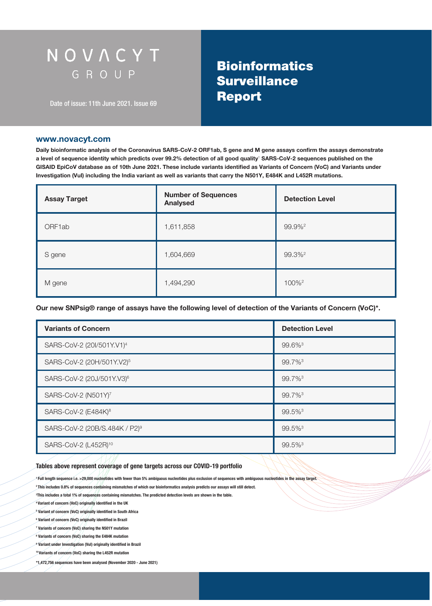# NOVACYT GROUP

Date of issue: 11th June 2021. Issue 69

# **Bioinformatics Surveillance**

#### www.novacyt.com

Daily bioinformatic analysis of the Coronavirus SARS-CoV-2 ORF1ab, S gene and M gene assays confirm the assays demonstrate a level of sequence identity which predicts over 99.2% detection of all good quality<sup>1</sup> SARS-CoV-2 sequences published on the GISAID EpiCoV database as of 10th June 2021. These include variants identified as Variants of Concern (VoC) and Variants under Investigation (VuI) including the India variant as well as variants that carry the N501Y, E484K and L452R mutations.

| <b>Assay Target</b> | <b>Number of Sequences</b><br><b>Analysed</b> | <b>Detection Level</b> |
|---------------------|-----------------------------------------------|------------------------|
| ORF1ab              | 1,611,858                                     | 99.9% <sup>2</sup>     |
| S gene              | 1,604,669                                     | 99.3% <sup>2</sup>     |
| M gene              | 1,494,290                                     | 100% <sup>2</sup>      |

Our new SNPsig® range of assays have the following level of detection of the Variants of Concern (VoC)\*.

| <b>Variants of Concern</b>                | <b>Detection Level</b> |
|-------------------------------------------|------------------------|
| SARS-CoV-2 (20I/501Y.V1) <sup>4</sup>     | $99.6\%$ <sup>3</sup>  |
| SARS-CoV-2 (20H/501Y.V2) <sup>5</sup>     | 99.7% <sup>3</sup>     |
| SARS-CoV-2 (20J/501Y.V3) <sup>6</sup>     | $99.7\%$ <sup>3</sup>  |
| SARS-CoV-2 (N501Y) <sup>7</sup>           | 99.7% <sup>3</sup>     |
| SARS-CoV-2 (E484K) <sup>8</sup>           | 99.5% <sup>3</sup>     |
| SARS-CoV-2 (20B/S.484K / P2) <sup>9</sup> | 99.5% <sup>3</sup>     |
| SARS-CoV-2 (L452R) <sup>10</sup>          | 99.5% <sup>3</sup>     |

#### Tables above represent coverage of gene targets across our COVID-19 portfolio

1 Full length sequence i.e. >29,000 nucleotides with fewer than 5% ambiguous nucleotides plus exclusion of sequences with ambiguous nucleotides in the assay target.

<sup>2</sup>This includes 0.8% of sequences containing mismatches of which our bioinformatics analysis predicts our assays will still detect.

3 This includes a total 1% of sequences containing mismatches. The predicted detection levels are shown in the table.

4 Variant of concern (VoC) originally identified in the UK

5 Variant of concern (VoC) originally identified in South Africa

6 Variant of concern (VoC) originally identified in Brazil

7 Variants of concern (VoC) sharing the N501Y mutation

8 Variants of concern (VoC) sharing the E484K mutation

9 Variant under Investigation (VuI) originally identified in Brazil

10 Variants of concern (VoC) sharing the L452R mutation

\*1,472,756 sequences have been analysed (November 2020 - June 2021)